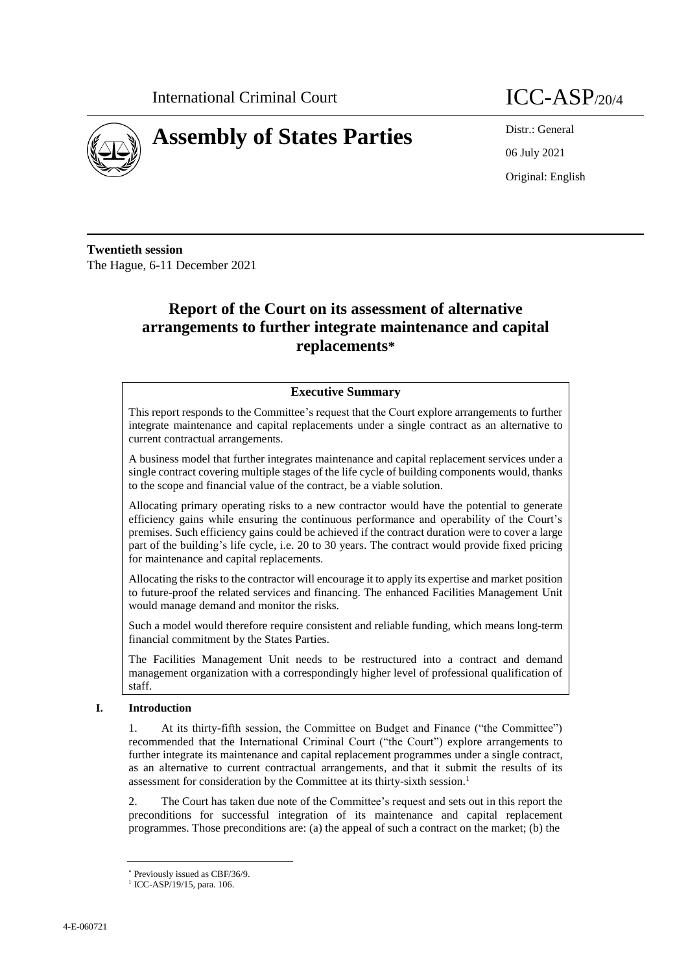



06 July 2021 Original: English

**Twentieth session** The Hague, 6-11 December 2021

# **Report of the Court on its assessment of alternative arrangements to further integrate maintenance and capital replacements\***

# **Executive Summary**

This report responds to the Committee's request that the Court explore arrangements to further integrate maintenance and capital replacements under a single contract as an alternative to current contractual arrangements.

A business model that further integrates maintenance and capital replacement services under a single contract covering multiple stages of the life cycle of building components would, thanks to the scope and financial value of the contract, be a viable solution.

Allocating primary operating risks to a new contractor would have the potential to generate efficiency gains while ensuring the continuous performance and operability of the Court's premises. Such efficiency gains could be achieved if the contract duration were to cover a large part of the building's life cycle, i.e. 20 to 30 years. The contract would provide fixed pricing for maintenance and capital replacements.

Allocating the risks to the contractor will encourage it to apply its expertise and market position to future-proof the related services and financing. The enhanced Facilities Management Unit would manage demand and monitor the risks.

Such a model would therefore require consistent and reliable funding, which means long-term financial commitment by the States Parties.

The Facilities Management Unit needs to be restructured into a contract and demand management organization with a correspondingly higher level of professional qualification of staff.

## **I. Introduction**

1. At its thirty-fifth session, the Committee on Budget and Finance ("the Committee") recommended that the International Criminal Court ("the Court") explore arrangements to further integrate its maintenance and capital replacement programmes under a single contract, as an alternative to current contractual arrangements, and that it submit the results of its assessment for consideration by the Committee at its thirty-sixth session.<sup>1</sup>

2. The Court has taken due note of the Committee's request and sets out in this report the preconditions for successful integration of its maintenance and capital replacement programmes. Those preconditions are: (a) the appeal of such a contract on the market; (b) the

Previously issued as CBF/36/9.

<sup>&</sup>lt;sup>1</sup> ICC-ASP/19/15, para. 106.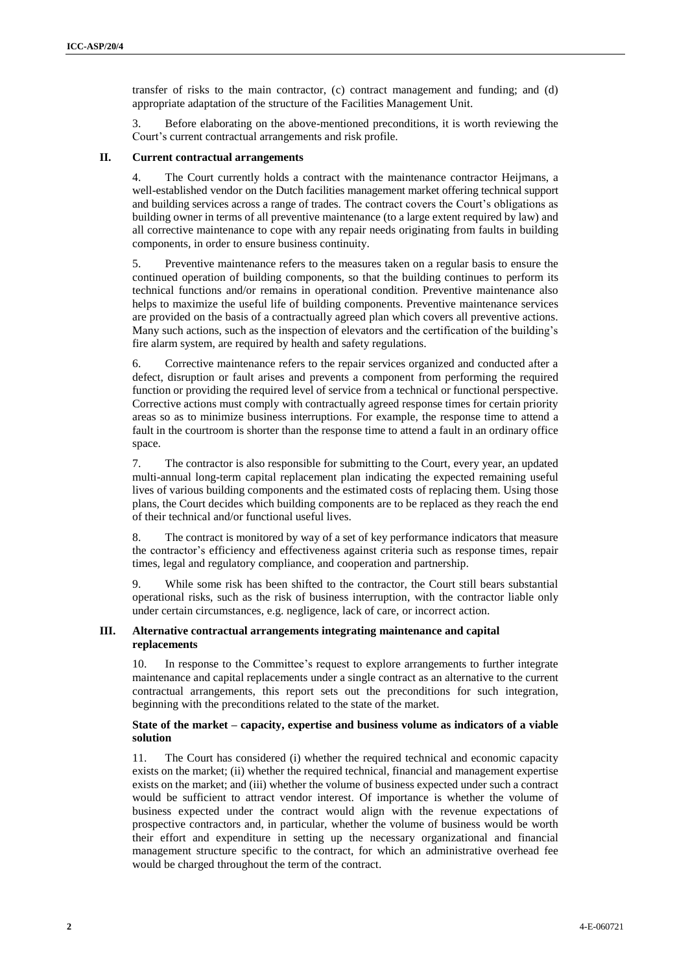transfer of risks to the main contractor, (c) contract management and funding; and (d) appropriate adaptation of the structure of the Facilities Management Unit.

3. Before elaborating on the above-mentioned preconditions, it is worth reviewing the Court's current contractual arrangements and risk profile.

#### **II. Current contractual arrangements**

4. The Court currently holds a contract with the maintenance contractor Heijmans, a well-established vendor on the Dutch facilities management market offering technical support and building services across a range of trades. The contract covers the Court's obligations as building owner in terms of all preventive maintenance (to a large extent required by law) and all corrective maintenance to cope with any repair needs originating from faults in building components, in order to ensure business continuity.

5. Preventive maintenance refers to the measures taken on a regular basis to ensure the continued operation of building components, so that the building continues to perform its technical functions and/or remains in operational condition. Preventive maintenance also helps to maximize the useful life of building components. Preventive maintenance services are provided on the basis of a contractually agreed plan which covers all preventive actions. Many such actions, such as the inspection of elevators and the certification of the building's fire alarm system, are required by health and safety regulations.

6. Corrective maintenance refers to the repair services organized and conducted after a defect, disruption or fault arises and prevents a component from performing the required function or providing the required level of service from a technical or functional perspective. Corrective actions must comply with contractually agreed response times for certain priority areas so as to minimize business interruptions. For example, the response time to attend a fault in the courtroom is shorter than the response time to attend a fault in an ordinary office space.

7. The contractor is also responsible for submitting to the Court, every year, an updated multi-annual long-term capital replacement plan indicating the expected remaining useful lives of various building components and the estimated costs of replacing them. Using those plans, the Court decides which building components are to be replaced as they reach the end of their technical and/or functional useful lives.

8. The contract is monitored by way of a set of key performance indicators that measure the contractor's efficiency and effectiveness against criteria such as response times, repair times, legal and regulatory compliance, and cooperation and partnership.

While some risk has been shifted to the contractor, the Court still bears substantial operational risks, such as the risk of business interruption, with the contractor liable only under certain circumstances, e.g. negligence, lack of care, or incorrect action.

## **III. Alternative contractual arrangements integrating maintenance and capital replacements**

10. In response to the Committee's request to explore arrangements to further integrate maintenance and capital replacements under a single contract as an alternative to the current contractual arrangements, this report sets out the preconditions for such integration, beginning with the preconditions related to the state of the market.

### **State of the market – capacity, expertise and business volume as indicators of a viable solution**

11. The Court has considered (i) whether the required technical and economic capacity exists on the market; (ii) whether the required technical, financial and management expertise exists on the market; and (iii) whether the volume of business expected under such a contract would be sufficient to attract vendor interest. Of importance is whether the volume of business expected under the contract would align with the revenue expectations of prospective contractors and, in particular, whether the volume of business would be worth their effort and expenditure in setting up the necessary organizational and financial management structure specific to the contract, for which an administrative overhead fee would be charged throughout the term of the contract.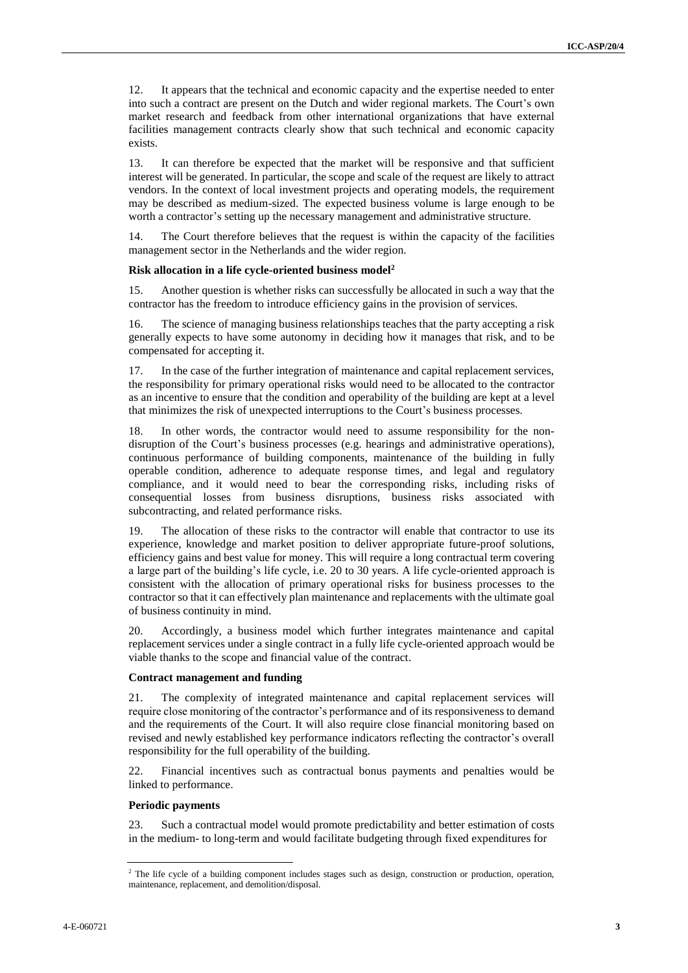12. It appears that the technical and economic capacity and the expertise needed to enter into such a contract are present on the Dutch and wider regional markets. The Court's own market research and feedback from other international organizations that have external facilities management contracts clearly show that such technical and economic capacity exists.

13. It can therefore be expected that the market will be responsive and that sufficient interest will be generated. In particular, the scope and scale of the request are likely to attract vendors. In the context of local investment projects and operating models, the requirement may be described as medium-sized. The expected business volume is large enough to be worth a contractor's setting up the necessary management and administrative structure.

14. The Court therefore believes that the request is within the capacity of the facilities management sector in the Netherlands and the wider region.

#### **Risk allocation in a life cycle-oriented business model<sup>2</sup>**

15. Another question is whether risks can successfully be allocated in such a way that the contractor has the freedom to introduce efficiency gains in the provision of services.

16. The science of managing business relationships teaches that the party accepting a risk generally expects to have some autonomy in deciding how it manages that risk, and to be compensated for accepting it.

17. In the case of the further integration of maintenance and capital replacement services, the responsibility for primary operational risks would need to be allocated to the contractor as an incentive to ensure that the condition and operability of the building are kept at a level that minimizes the risk of unexpected interruptions to the Court's business processes.

In other words, the contractor would need to assume responsibility for the nondisruption of the Court's business processes (e.g. hearings and administrative operations), continuous performance of building components, maintenance of the building in fully operable condition, adherence to adequate response times, and legal and regulatory compliance, and it would need to bear the corresponding risks, including risks of consequential losses from business disruptions, business risks associated with subcontracting, and related performance risks.

19. The allocation of these risks to the contractor will enable that contractor to use its experience, knowledge and market position to deliver appropriate future-proof solutions, efficiency gains and best value for money. This will require a long contractual term covering a large part of the building's life cycle, i.e. 20 to 30 years. A life cycle-oriented approach is consistent with the allocation of primary operational risks for business processes to the contractor so that it can effectively plan maintenance and replacements with the ultimate goal of business continuity in mind.

20. Accordingly, a business model which further integrates maintenance and capital replacement services under a single contract in a fully life cycle-oriented approach would be viable thanks to the scope and financial value of the contract.

#### **Contract management and funding**

21. The complexity of integrated maintenance and capital replacement services will require close monitoring of the contractor's performance and of its responsiveness to demand and the requirements of the Court. It will also require close financial monitoring based on revised and newly established key performance indicators reflecting the contractor's overall responsibility for the full operability of the building.

22. Financial incentives such as contractual bonus payments and penalties would be linked to performance.

#### **Periodic payments**

23. Such a contractual model would promote predictability and better estimation of costs in the medium- to long-term and would facilitate budgeting through fixed expenditures for

<sup>&</sup>lt;sup>2</sup> The life cycle of a building component includes stages such as design, construction or production, operation, maintenance, replacement, and demolition/disposal.